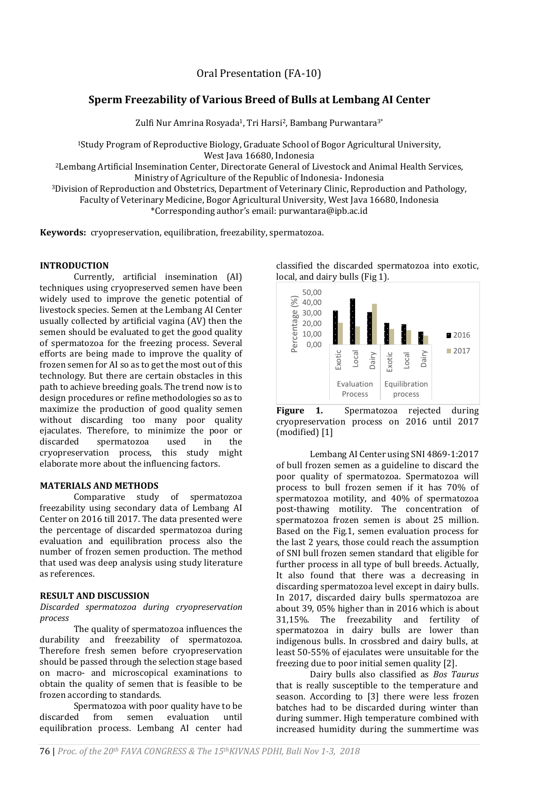# Oral Presentation (FA-10)

# **Sperm Freezability of Various Breed of Bulls at Lembang AI Center**

Zulfi Nur Amrina Rosyada<sup>1</sup>, Tri Harsi<sup>2</sup>, Bambang Purwantara<sup>3\*</sup>

<sup>1</sup>Study Program of Reproductive Biology, Graduate School of Bogor Agricultural University, West Java 16680, Indonesia

<sup>2</sup>Lembang Artificial Insemination Center, Directorate General of Livestock and Animal Health Services, Ministry of Agriculture of the Republic of Indonesia- Indonesia

<sup>3</sup>Division of Reproduction and Obstetrics, Department of Veterinary Clinic, Reproduction and Pathology, Faculty of Veterinary Medicine, Bogor Agricultural University, West Java 16680, Indonesia

\*Corresponding author's email: purwantara@ipb.ac.id

**Keywords:** cryopreservation, equilibration, freezability, spermatozoa.

### **INTRODUCTION**

Currently, artificial insemination (AI) techniques using cryopreserved semen have been widely used to improve the genetic potential of livestock species. Semen at the Lembang AI Center usually collected by artificial vagina (AV) then the semen should be evaluated to get the good quality of spermatozoa for the freezing process. Several efforts are being made to improve the quality of frozen semen for AI so as to get the most out of this technology. But there are certain obstacles in this path to achieve breeding goals. The trend now is to design procedures or refine methodologies so as to maximize the production of good quality semen without discarding too many poor quality ejaculates. Therefore, to minimize the poor or discarded spermatozoa used in the cryopreservation process, this study might elaborate more about the influencing factors.

#### **MATERIALS AND METHODS**

Comparative study of spermatozoa freezability using secondary data of Lembang AI Center on 2016 till 2017. The data presented were the percentage of discarded spermatozoa during evaluation and equilibration process also the number of frozen semen production. The method that used was deep analysis using study literature as references.

## **RESULT AND DISCUSSION**

#### *Discarded spermatozoa during cryopreservation process*

The quality of spermatozoa influences the durability and freezability of spermatozoa. Therefore fresh semen before cryopreservation should be passed through the selection stage based on macro- and microscopical examinations to obtain the quality of semen that is feasible to be frozen according to standards.

Spermatozoa with poor quality have to be discarded from semen evaluation until equilibration process. Lembang AI center had

classified the discarded spermatozoa into exotic,





Lembang AI Center using SNI 4869-1:2017 of bull frozen semen as a guideline to discard the poor quality of spermatozoa. Spermatozoa will process to bull frozen semen if it has 70% of spermatozoa motility, and 40% of spermatozoa post-thawing motility. The concentration of spermatozoa frozen semen is about 25 million. Based on the Fig.1, semen evaluation process for the last 2 years, those could reach the assumption of SNI bull frozen semen standard that eligible for further process in all type of bull breeds. Actually, It also found that there was a decreasing in discarding spermatozoa level except in dairy bulls. In 2017, discarded dairy bulls spermatozoa are about 39, 05% higher than in 2016 which is about 31,15%. The freezability and fertility of spermatozoa in dairy bulls are lower than indigenous bulls. In crossbred and dairy bulls, at least 50-55% of ejaculates were unsuitable for the freezing due to poor initial semen quality [2].

Dairy bulls also classified as *Bos Taurus*  that is really susceptible to the temperature and season. According to [3] there were less frozen batches had to be discarded during winter than during summer. High temperature combined with increased humidity during the summertime was

local, and dairy bulls (Fig 1).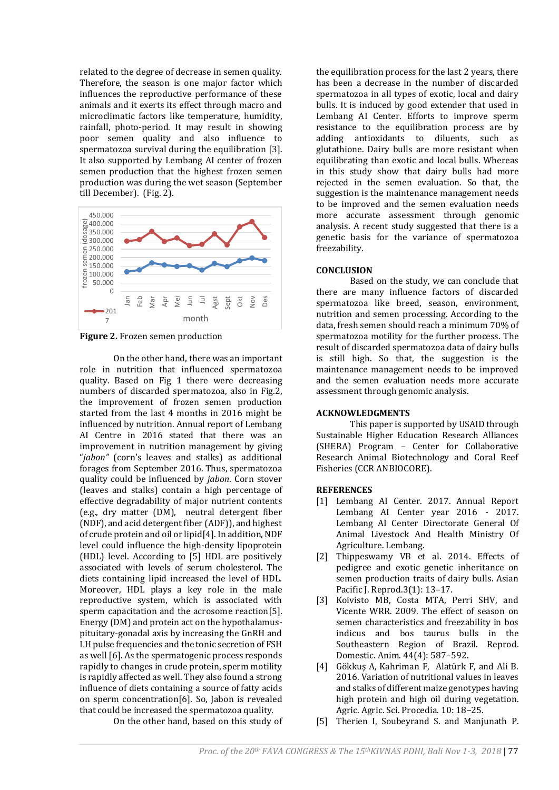related to the degree of decrease in semen quality. Therefore, the season is one major factor which influences the reproductive performance of these animals and it exerts its effect through macro and microclimatic factors like temperature, humidity, rainfall, photo-period. It may result in showing poor semen quality and also influence to spermatozoa survival during the equilibration [3]. It also supported by Lembang AI center of frozen semen production that the highest frozen semen production was during the wet season (September till December). (Fig. 2).



**Figure 2.** Frozen semen production

On the other hand, there was an important role in nutrition that influenced spermatozoa quality. Based on Fig 1 there were decreasing numbers of discarded spermatozoa, also in Fig.2, the improvement of frozen semen production started from the last 4 months in 2016 might be influenced by nutrition. Annual report of Lembang AI Centre in 2016 stated that there was an improvement in nutrition management by giving "*jabon"* (corn's leaves and stalks) as additional forages from September 2016. Thus, spermatozoa quality could be influenced by *jabon*. Corn stover (leaves and stalks) contain a high percentage of effective degradability of major nutrient contents (e.g., dry matter (DM), neutral detergent fiber (NDF), and acid detergent fiber (ADF)), and highest of crude protein and oil or lipid[4]. In addition, NDF level could influence the high-density lipoprotein (HDL) level. According to [5] HDL are positively associated with levels of serum cholesterol. The diets containing lipid increased the level of HDL. Moreover, HDL plays a key role in the male reproductive system, which is associated with sperm capacitation and the acrosome reaction[5]. Energy (DM) and protein act on the hypothalamuspituitary-gonadal axis by increasing the GnRH and LH pulse frequencies and the tonic secretion of FSH as well [6]. As the spermatogenic process responds rapidly to changes in crude protein, sperm motility is rapidly affected as well. They also found a strong influence of diets containing a source of fatty acids on sperm concentration[6]. So, Jabon is revealed that could be increased the spermatozoa quality.

On the other hand, based on this study of

the equilibration process for the last 2 years, there has been a decrease in the number of discarded spermatozoa in all types of exotic, local and dairy bulls. It is induced by good extender that used in Lembang AI Center. Efforts to improve sperm resistance to the equilibration process are by adding antioxidants to diluents, such as glutathione. Dairy bulls are more resistant when equilibrating than exotic and local bulls. Whereas in this study show that dairy bulls had more rejected in the semen evaluation. So that, the suggestion is the maintenance management needs to be improved and the semen evaluation needs more accurate assessment through genomic analysis. A recent study suggested that there is a genetic basis for the variance of spermatozoa freezability.

### **CONCLUSION**

Based on the study, we can conclude that there are many influence factors of discarded spermatozoa like breed, season, environment, nutrition and semen processing. According to the data, fresh semen should reach a minimum 70% of spermatozoa motility for the further process. The result of discarded spermatozoa data of dairy bulls is still high. So that, the suggestion is the maintenance management needs to be improved and the semen evaluation needs more accurate assessment through genomic analysis.

## **ACKNOWLEDGMENTS**

This paper is supported by USAID through Sustainable Higher Education Research Alliances (SHERA) Program – Center for Collaborative Research Animal Biotechnology and Coral Reef Fisheries (CCR ANBIOCORE).

## **REFERENCES**

- [1] Lembang AI Center. 2017. Annual Report Lembang AI Center year 2016 - 2017. Lembang AI Center Directorate General Of Animal Livestock And Health Ministry Of Agriculture. Lembang.
- [2] Thippeswamy VB et al. 2014. Effects of pedigree and exotic genetic inheritance on semen production traits of dairy bulls. Asian Pacific J. Reprod.3(1): 13–17.
- [3] Koivisto MB, Costa MTA, Perri SHV, and Vicente WRR. 2009. The effect of season on semen characteristics and freezability in bos indicus and bos taurus bulls in the Southeastern Region of Brazil. Reprod. Domestic. Anim. 44(4): 587–592.
- [4] Gökkuş A, Kahriman F, Alatürk F, and Ali B. 2016. Variation of nutritional values in leaves and stalks of different maize genotypes having high protein and high oil during vegetation. Agric. Agric. Sci. Procedia. 10: 18–25.
- [5] Therien I, Soubeyrand S. and Manjunath P.